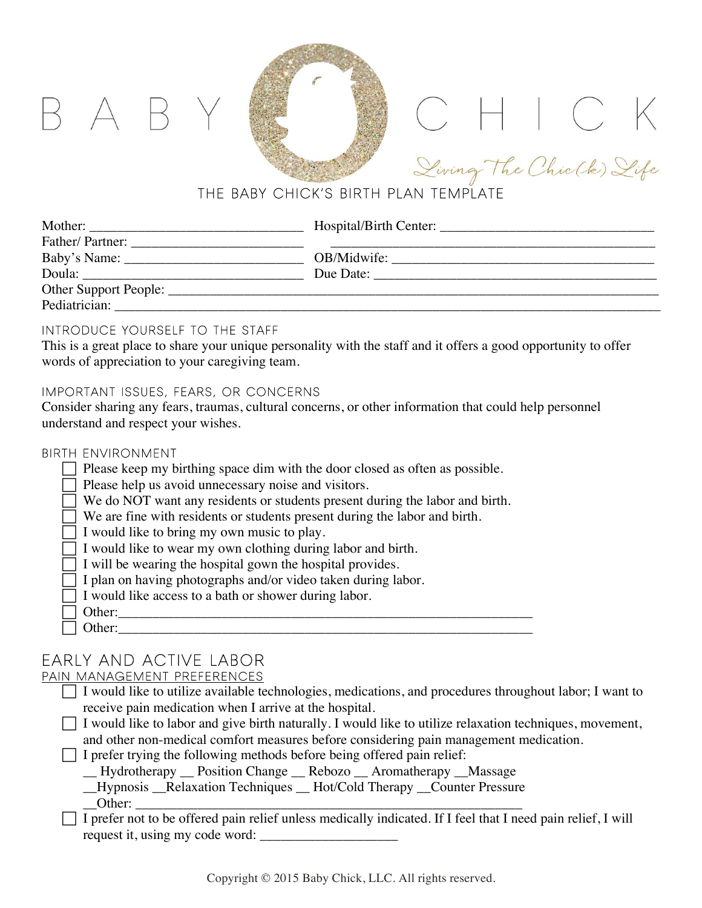# THE BABY CHICK'S BIRTH PLAN TEMPLATE

CHICK

| Mother:               | Hospital/Birth Center: |  |
|-----------------------|------------------------|--|
| Father/Partner:       |                        |  |
| Baby's Name: _        | OB/Midwife:            |  |
| Doula:                | Due Date:              |  |
| Other Support People: |                        |  |
| Pediatrician:         |                        |  |

## Introduce Yourself to the Staff

 $A$   $B$ 

This is a great place to share your unique personality with the staff and it offers a good opportunity to offer words of appreciation to your caregiving team.

## Important Issues, Fears, or Concerns

Consider sharing any fears, traumas, cultural concerns, or other information that could help personnel understand and respect your wishes.

### Birth Environment

|  |  |  |  |  | $\Box$ Please keep my birthing space dim with the door closed as often as possible. |  |
|--|--|--|--|--|-------------------------------------------------------------------------------------|--|
|--|--|--|--|--|-------------------------------------------------------------------------------------|--|

- ! Please help us avoid unnecessary noise and visitors.
- We do NOT want any residents or students present during the labor and birth.
- We are fine with residents or students present during the labor and birth.
- $\Box$  I would like to bring my own music to play.
- $\Box$  I would like to wear my own clothing during labor and birth.
- I will be wearing the hospital gown the hospital provides.
- I plan on having photographs and/or video taken during labor.
- I would like access to a bath or shower during labor.
- Other:  $\Box$  Other:

## Early and Active Labor

### Pain Management Preferences

| $\Box$ I would like to utilize available technologies, medications, and procedures throughout labor; I want to  |
|-----------------------------------------------------------------------------------------------------------------|
| receive pain medication when I arrive at the hospital.                                                          |
| $\Box$ I would like to labor and give birth naturally. I would like to utilize relaxation techniques, movement, |
| and other non-medical comfort measures before considering pain management medication.                           |
| $\Box$ I prefer trying the following methods before being offered pain relief:                                  |
| - Hydrotherapy Position Change Rebozo Aromatherapy Massage                                                      |
| Hypnosis Relaxation Techniques Hot/Cold Therapy Counter Pressure                                                |

- \_\_Hypnosis \_\_Relaxation Techniques \_\_ Hot/Cold Therapy \_\_Counter Pressure \_\_Other: \_\_\_\_\_\_\_\_\_\_\_\_\_\_\_\_\_\_\_\_\_\_\_\_\_\_\_\_\_\_\_\_\_\_\_\_\_\_\_\_\_\_\_\_\_\_\_\_\_\_\_\_\_\_\_\_
- I prefer not to be offered pain relief unless medically indicated. If I feel that I need pain relief, I will request it, using my code word: \_\_\_\_\_\_\_\_\_\_\_\_\_\_\_\_\_\_\_\_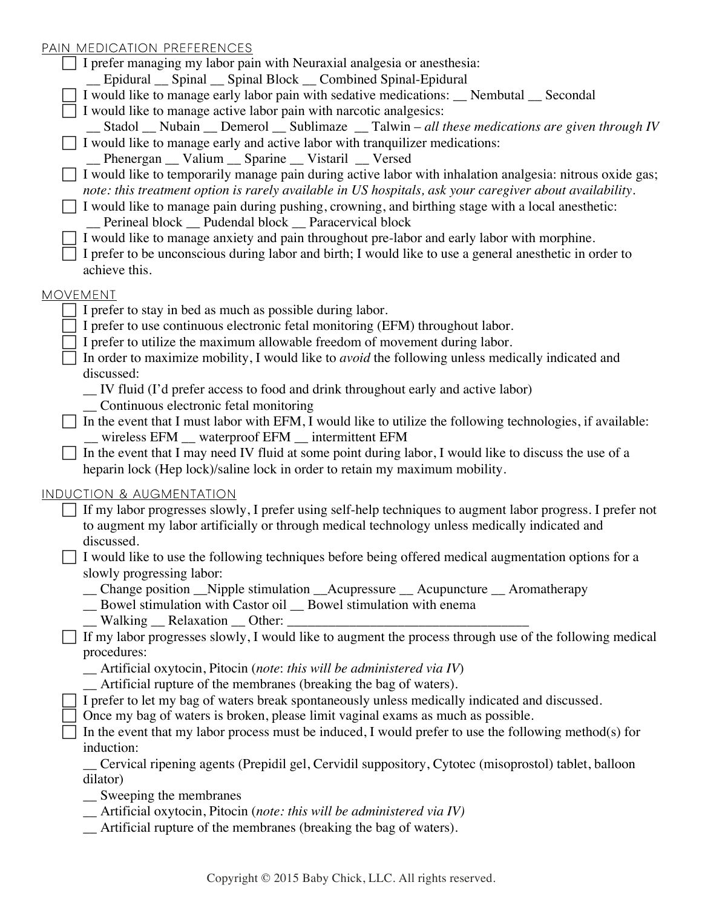## PAIN MEDICATION PREFERENCES

| <u>PAIN MEDICATION PREFERENCES</u>                                                                                  |
|---------------------------------------------------------------------------------------------------------------------|
| $\Box$ I prefer managing my labor pain with Neuraxial analgesia or anesthesia:                                      |
| _Epidural _ Spinal _ Spinal Block _ Combined Spinal-Epidural                                                        |
| I would like to manage early labor pain with sedative medications: __ Nembutal __ Secondal                          |
| $\Box$ I would like to manage active labor pain with narcotic analgesics:                                           |
| _ Stadol _ Nubain _ Demerol _ Sublimaze _ Talwin - all these medications are given through IV                       |
| $\Box$ I would like to manage early and active labor with tranquilizer medications:                                 |
| _Phenergan _Valium _Sparine _Vistaril _Versed                                                                       |
| □ I would like to temporarily manage pain during active labor with inhalation analgesia: nitrous oxide gas;         |
| note: this treatment option is rarely available in US hospitals, ask your caregiver about availability.             |
| I would like to manage pain during pushing, crowning, and birthing stage with a local anesthetic:                   |
| _Perineal block _ Pudendal block _ Paracervical block                                                               |
| I would like to manage anxiety and pain throughout pre-labor and early labor with morphine.                         |
| I prefer to be unconscious during labor and birth; I would like to use a general anesthetic in order to             |
| achieve this.                                                                                                       |
|                                                                                                                     |
| <b>MOVEMENT</b>                                                                                                     |
| I prefer to stay in bed as much as possible during labor.                                                           |
| I prefer to use continuous electronic fetal monitoring (EFM) throughout labor.                                      |
| I prefer to utilize the maximum allowable freedom of movement during labor.                                         |
| In order to maximize mobility, I would like to <i>avoid</i> the following unless medically indicated and            |
| discussed:                                                                                                          |
| _ IV fluid (I'd prefer access to food and drink throughout early and active labor)                                  |
| _ Continuous electronic fetal monitoring                                                                            |
| In the event that I must labor with EFM, I would like to utilize the following technologies, if available:          |
| _ wireless EFM _ waterproof EFM _ intermittent EFM                                                                  |
| In the event that I may need IV fluid at some point during labor, I would like to discuss the use of a              |
| heparin lock (Hep lock)/saline lock in order to retain my maximum mobility.                                         |
|                                                                                                                     |
| INDUCTION & AUGMENTATION                                                                                            |
| If my labor progresses slowly, I prefer using self-help techniques to augment labor progress. I prefer not          |
| to augment my labor artificially or through medical technology unless medically indicated and                       |
| discussed.                                                                                                          |
| I would like to use the following techniques before being offered medical augmentation options for a                |
| slowly progressing labor:                                                                                           |
| _ Change position _Nipple stimulation _Acupressure _ Acupuncture _ Aromatherapy                                     |
| _ Bowel stimulation with Castor oil _ Bowel stimulation with enema                                                  |
| Walking Relaxation Other:                                                                                           |
|                                                                                                                     |
| If my labor progresses slowly, I would like to augment the process through use of the following medical             |
| procedures:                                                                                                         |
| $\_\$ Artificial oxytocin, Pitocin (note: this will be administered via IV)                                         |
| _ Artificial rupture of the membranes (breaking the bag of waters).                                                 |
|                                                                                                                     |
| I prefer to let my bag of waters break spontaneously unless medically indicated and discussed.                      |
| Once my bag of waters is broken, please limit vaginal exams as much as possible.                                    |
| In the event that my labor process must be induced, I would prefer to use the following method(s) for<br>induction: |
|                                                                                                                     |
| Cervical ripening agents (Prepidil gel, Cervidil suppository, Cytotec (misoprostol) tablet, balloon<br>dilator)     |
|                                                                                                                     |
| _ Sweeping the membranes<br>$\_\$ Artificial oxytocin, Pitocin (note: this will be administered via IV)             |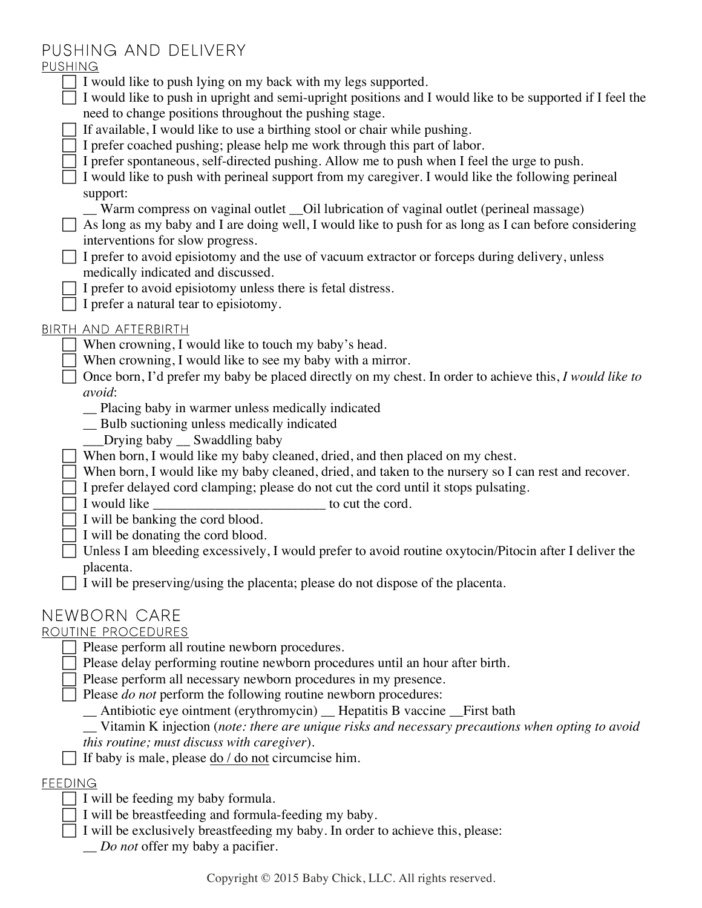## Pushing and Delivery

## **PUSHING**

| I would like to push lying on my back with my legs supported.<br>I would like to push in upright and semi-upright positions and I would like to be supported if I feel the |
|----------------------------------------------------------------------------------------------------------------------------------------------------------------------------|
| need to change positions throughout the pushing stage.                                                                                                                     |
| If available, I would like to use a birthing stool or chair while pushing.                                                                                                 |
| I prefer coached pushing; please help me work through this part of labor.                                                                                                  |
| I prefer spontaneous, self-directed pushing. Allow me to push when I feel the urge to push.                                                                                |
| I would like to push with perineal support from my caregiver. I would like the following perineal                                                                          |
| support:                                                                                                                                                                   |
| Warm compress on vaginal outlet __Oil lubrication of vaginal outlet (perineal massage)                                                                                     |
| As long as my baby and I are doing well, I would like to push for as long as I can before considering                                                                      |
| interventions for slow progress.                                                                                                                                           |
| I prefer to avoid episiotomy and the use of vacuum extractor or forceps during delivery, unless                                                                            |
| medically indicated and discussed.                                                                                                                                         |
| I prefer to avoid episiotomy unless there is fetal distress.                                                                                                               |
| I prefer a natural tear to episiotomy.                                                                                                                                     |
| <u>BIRTH AND AFTERBIRTH</u>                                                                                                                                                |
| When crowning, I would like to touch my baby's head.                                                                                                                       |
| When crowning, I would like to see my baby with a mirror.                                                                                                                  |
| Once born, I'd prefer my baby be placed directly on my chest. In order to achieve this, I would like to                                                                    |
| avoid:                                                                                                                                                                     |
| Placing baby in warmer unless medically indicated                                                                                                                          |
| Bulb suctioning unless medically indicated                                                                                                                                 |
| Drying baby __ Swaddling baby                                                                                                                                              |
| When born, I would like my baby cleaned, dried, and then placed on my chest.                                                                                               |
| When born, I would like my baby cleaned, dried, and taken to the nursery so I can rest and recover.                                                                        |
| I prefer delayed cord clamping; please do not cut the cord until it stops pulsating.                                                                                       |
| I would like<br>$\frac{1}{2}$ to cut the cord.                                                                                                                             |
| I will be banking the cord blood.                                                                                                                                          |
| I will be donating the cord blood.                                                                                                                                         |
| Unless I am bleeding excessively, I would prefer to avoid routine oxytocin/Pitocin after I deliver the                                                                     |
| placenta.                                                                                                                                                                  |
| I will be preserving/using the placenta; please do not dispose of the placenta.                                                                                            |
| NEWBORN CARE                                                                                                                                                               |
| ROUTINE PROCEDURES                                                                                                                                                         |
| Please perform all routine newborn procedures.                                                                                                                             |
|                                                                                                                                                                            |

 $\Box$  Please delay performing routine newborn procedures until an hour after birth.

! Please perform all necessary newborn procedures in my presence.

! Please *do not* perform the following routine newborn procedures:

\_\_ Antibiotic eye ointment (erythromycin) \_\_ Hepatitis B vaccine \_\_First bath

\_\_ Vitamin K injection (*note: there are unique risks and necessary precautions when opting to avoid this routine; must discuss with caregiver*).

 $\Box$  If baby is male, please do / do not circumcise him.

## **FEEDING**

 $\Box$  I will be feeding my baby formula.

 $\Box$  I will be breastfeeding and formula-feeding my baby.

 $\exists$  I will be exclusively breastfeeding my baby. In order to achieve this, please:

\_\_ *Do not* offer my baby a pacifier.